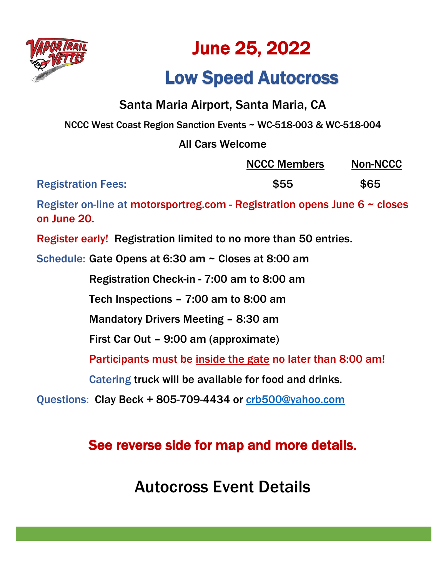

# June 25, 2022

## Low Speed Autocross

### Santa Maria Airport, Santa Maria, CA

NCCC West Coast Region Sanction Events ~ WC-518-003 & WC-518-004

### All Cars Welcome

|                           | <b>NCCC Members</b> | <b>Non-NCCC</b> |
|---------------------------|---------------------|-----------------|
| <b>Registration Fees:</b> | \$55                | \$65            |

Register on-line at motorsportreg.com - Registration opens June 6 ~ closes on June 20.

Register early! Registration limited to no more than 50 entries.

Schedule: Gate Opens at 6:30 am ~ Closes at 8:00 am

Registration Check-in - 7:00 am to 8:00 am

Tech Inspections – 7:00 am to 8:00 am

Mandatory Drivers Meeting – 8:30 am

First Car Out – 9:00 am (approximate)

Participants must be inside the gate no later than 8:00 am!

Catering truck will be available for food and drinks.

Questions: Clay Beck + 805-709-4434 or [crb500@yahoo.com](mailto:crb500@yahoo.com)

### See reverse side for map and more details.

Autocross Event Details